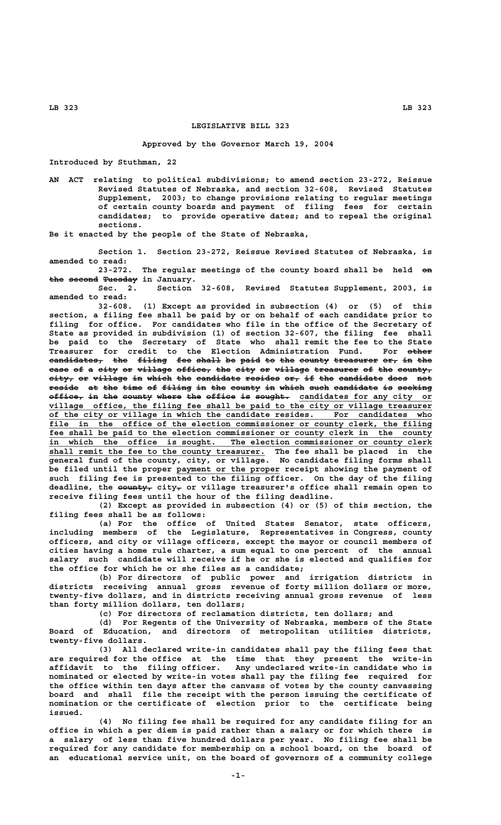**LB 323 LB 323**

## **LEGISLATIVE BILL 323**

## **Approved by the Governor March 19, 2004**

**Introduced by Stuthman, 22**

**AN ACT relating to political subdivisions; to amend section 23-272, Reissue Revised Statutes of Nebraska, and section 32-608, Revised Statutes Supplement, 2003; to change provisions relating to regular meetings of certain county boards and payment of filing fees for certain candidates; to provide operative dates; and to repeal the original sections.**

**Be it enacted by the people of the State of Nebraska,**

**Section 1. Section 23-272, Reissue Revised Statutes of Nebraska, is amended to read:**

23-272. The regular meetings of the county board shall be held on **the second Tuesday in January.** 

**Sec. 2. Section 32-608, Revised Statutes Supplement, 2003, is amended to read:**

**32-608. (1) Except as provided in subsection (4) or (5) of this section, a filing fee shall be paid by or on behalf of each candidate prior to filing for office. For candidates who file in the office of the Secretary of State as provided in subdivision (1) of section 32-607, the filing fee shall be paid to the Secretary of State who shall remit the fee to the State Treasurer for credit to the Election Administration Fund. For other ————**  $e$ andidates, the filing fee shall be paid to the county treasurer or, in the case of a city or village office, the city or village treasurer of the county,  $\tt{city_7}$  or village in which the candidate resides or, if the candidate does not reside at the time of filing in the county in which such candidate is seeking office, in the county where the office is sought. candidates for any city or village office, the filing fee shall be paid to the city or village treasurer<br>of the city or village in which the candidate resides. For candidates who of the city or village in which the candidate resides. For candidates who  **\_\_\_\_\_\_\_\_\_\_\_\_\_\_\_\_\_\_\_\_\_\_\_\_\_\_\_\_\_\_\_\_\_\_\_\_\_\_\_\_\_\_\_\_\_\_\_\_\_\_\_\_\_\_\_\_\_\_\_\_\_\_\_\_\_\_\_\_\_\_\_\_\_\_\_\_\_\_ file in the office of the election commissioner or county clerk, the filing** fee shall be paid to the election commissioner or county clerk in the county  **\_\_\_\_\_\_\_\_\_\_\_\_\_\_\_\_\_\_\_\_\_\_\_\_\_\_\_\_\_\_\_\_\_\_\_\_\_\_\_\_\_\_\_\_\_\_\_\_\_\_\_\_\_\_\_\_\_\_\_\_\_\_\_\_\_\_\_\_\_\_\_\_\_\_\_\_\_\_ in which the office is sought. The election commissioner or county clerk \_\_\_\_\_\_\_\_\_\_\_\_\_\_\_\_\_\_\_\_\_\_\_\_\_\_\_\_\_\_\_\_\_\_\_\_\_\_\_\_\_\_\_\_ shall remit the fee to the county treasurer. The fee shall be placed in the general fund of the county, city, or village. No candidate filing forms shall** be filed until the proper payment or the proper receipt showing the payment of **such filing fee is presented to the filing officer. On the day of the filing ——————— — deadline, the county, city, or village treasurer's office shall remain open to receive filing fees until the hour of the filing deadline.**

**(2) Except as provided in subsection (4) or (5) of this section, the filing fees shall be as follows:**

**(a) For the office of United States Senator, state officers, including members of the Legislature, Representatives in Congress, county officers, and city or village officers, except the mayor or council members of cities having a home rule charter, a sum equal to one percent of the annual salary such candidate will receive if he or she is elected and qualifies for the office for which he or she files as a candidate;**

**(b) For directors of public power and irrigation districts in districts receiving annual gross revenue of forty million dollars or more, twenty-five dollars, and in districts receiving annual gross revenue of less than forty million dollars, ten dollars;**

**(c) For directors of reclamation districts, ten dollars; and**

**(d) For Regents of the University of Nebraska, members of the State** and directors of metropolitan utilities districts,  **twenty-five dollars.**

**(3) All declared write-in candidates shall pay the filing fees that are required for the office at the time that they present the write-in affidavit to the filing officer. Any undeclared write-in candidate who is nominated or elected by write-in votes shall pay the filing fee required for the office within ten days after the canvass of votes by the county canvassing board and shall file the receipt with the person issuing the certificate of nomination or the certificate of election prior to the certificate being issued.**

**(4) No filing fee shall be required for any candidate filing for an office in which a per diem is paid rather than a salary or for which there is a salary of less than five hundred dollars per year. No filing fee shall be required for any candidate for membership on a school board, on the board of an educational service unit, on the board of governors of a community college**